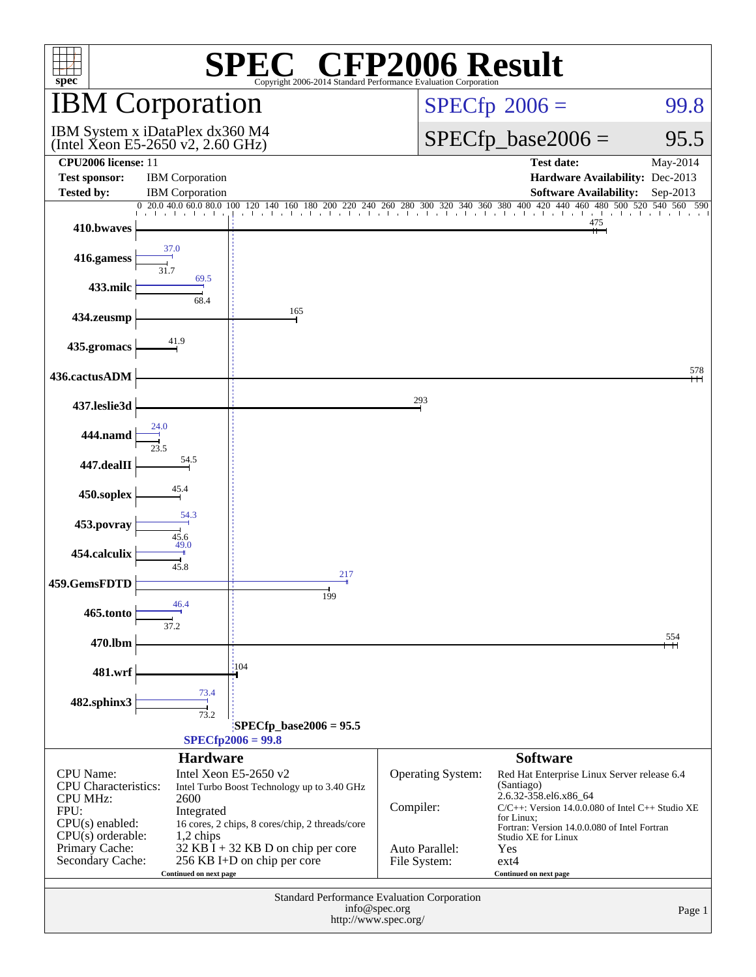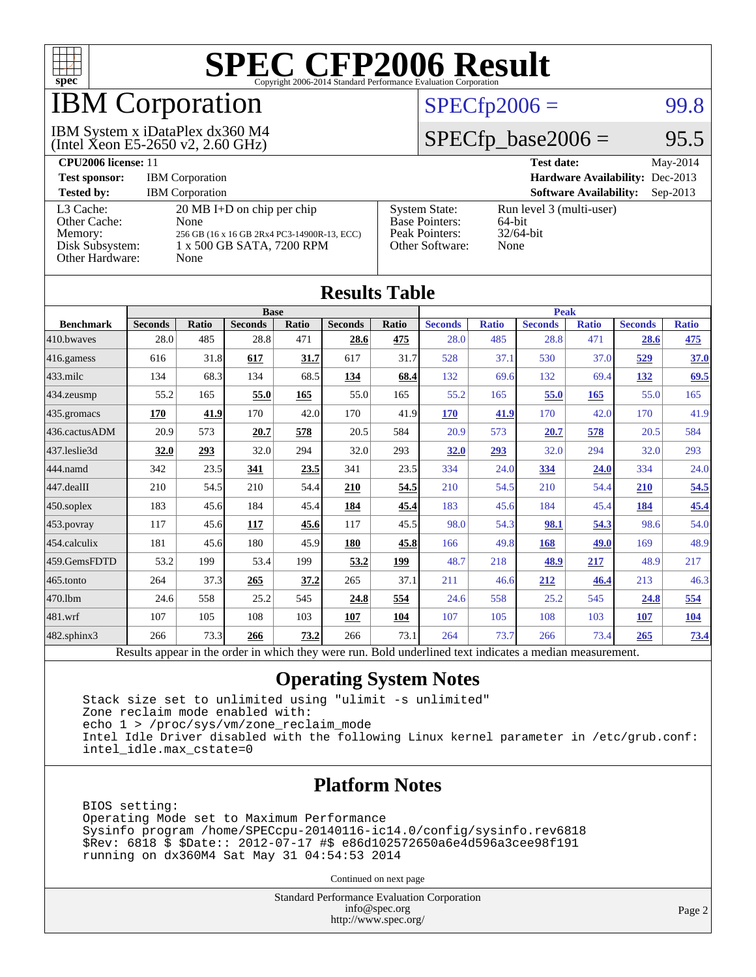

## IBM Corporation

(Intel Xeon E5-2650 v2, 2.60 GHz) IBM System x iDataPlex dx360 M4

#### $SPECTp2006 =$  99.8

### $SPECTp\_base2006 = 95.5$

| CPU <sub>2006</sub> license: 11                                            |                                                                                                                                  |                                                                                    | May-2014<br><b>Test date:</b>                                 |
|----------------------------------------------------------------------------|----------------------------------------------------------------------------------------------------------------------------------|------------------------------------------------------------------------------------|---------------------------------------------------------------|
| <b>Test sponsor:</b>                                                       | <b>IBM</b> Corporation                                                                                                           |                                                                                    | Hardware Availability: Dec-2013                               |
| <b>Tested by:</b>                                                          | <b>IBM</b> Corporation                                                                                                           |                                                                                    | <b>Software Availability:</b><br>$Sen-2013$                   |
| L3 Cache:<br>Other Cache:<br>Memory:<br>Disk Subsystem:<br>Other Hardware: | $20 \text{ MB I+D}$ on chip per chip<br>None<br>256 GB (16 x 16 GB 2Rx4 PC3-14900R-13, ECC)<br>1 x 500 GB SATA, 7200 RPM<br>None | <b>System State:</b><br><b>Base Pointers:</b><br>Peak Pointers:<br>Other Software: | Run level 3 (multi-user)<br>$64$ -bit<br>$32/64$ -bit<br>None |

**[Results Table](http://www.spec.org/auto/cpu2006/Docs/result-fields.html#ResultsTable)**

| Results Table          |                                                                                                          |       |                |       |                |       |                |              |                |              |                |              |
|------------------------|----------------------------------------------------------------------------------------------------------|-------|----------------|-------|----------------|-------|----------------|--------------|----------------|--------------|----------------|--------------|
| <b>Base</b>            |                                                                                                          |       |                |       | <b>Peak</b>    |       |                |              |                |              |                |              |
| <b>Benchmark</b>       | <b>Seconds</b>                                                                                           | Ratio | <b>Seconds</b> | Ratio | <b>Seconds</b> | Ratio | <b>Seconds</b> | <b>Ratio</b> | <b>Seconds</b> | <b>Ratio</b> | <b>Seconds</b> | <b>Ratio</b> |
| 410.bwayes             | 28.0                                                                                                     | 485   | 28.8           | 471   | 28.6           | 475   | 28.0           | 485          | 28.8           | 471          | 28.6           | <u>475</u>   |
| 416.gamess             | 616                                                                                                      | 31.8  | 617            | 31.7  | 617            | 31.7  | 528            | 37.1         | 530            | 37.0         | 529            | 37.0         |
| $433$ .milc            | 134                                                                                                      | 68.3  | 134            | 68.5  | 134            | 68.4  | 132            | 69.6         | 132            | 69.4         | <u>132</u>     | 69.5         |
| $434$ . zeusmp         | 55.2                                                                                                     | 165   | 55.0           | 165   | 55.0           | 165   | 55.2           | 165          | 55.0           | 165          | 55.0           | 165          |
| 435.gromacs            | 170                                                                                                      | 41.9  | 170            | 42.0  | 170            | 41.9  | 170            | 41.9         | 170            | 42.0         | 170            | 41.9         |
| 436.cactusADM          | 20.9                                                                                                     | 573   | 20.7           | 578   | 20.5           | 584   | 20.9           | 573          | 20.7           | 578          | 20.5           | 584          |
| 437.leslie3d           | 32.0                                                                                                     | 293   | 32.0           | 294   | 32.0           | 293   | 32.0           | 293          | 32.0           | 294          | 32.0           | 293          |
| 444.namd               | 342                                                                                                      | 23.5  | 341            | 23.5  | 341            | 23.5  | 334            | 24.0         | 334            | 24.0         | 334            | 24.0         |
| $ 447 \text{.}$ dealII | 210                                                                                                      | 54.5  | 210            | 54.4  | 210            | 54.5  | 210            | 54.5         | 210            | 54.4         | 210            | 54.5         |
| 450.soplex             | 183                                                                                                      | 45.6  | 184            | 45.4  | 184            | 45.4  | 183            | 45.6         | 184            | 45.4         | 184            | 45.4         |
| 453.povray             | 117                                                                                                      | 45.6  | 117            | 45.6  | 117            | 45.5  | 98.0           | 54.3         | 98.1           | 54.3         | 98.6           | 54.0         |
| $ 454$ .calculix       | 181                                                                                                      | 45.6  | 180            | 45.9  | 180            | 45.8  | 166            | 49.8         | 168            | 49.0         | 169            | 48.9         |
| 459.GemsFDTD           | 53.2                                                                                                     | 199   | 53.4           | 199   | 53.2           | 199   | 48.7           | 218          | 48.9           | 217          | 48.9           | 217          |
| $465$ .tonto           | 264                                                                                                      | 37.3  | 265            | 37.2  | 265            | 37.1  | 211            | 46.6         | 212            | 46.4         | 213            | 46.3         |
| 470.1bm                | 24.6                                                                                                     | 558   | 25.2           | 545   | 24.8           | 554   | 24.6           | 558          | 25.2           | 545          | 24.8           | 554          |
| $ 481$ .wrf            | 107                                                                                                      | 105   | 108            | 103   | 107            | 104   | 107            | 105          | 108            | 103          | 107            | <u>104</u>   |
| 482.sphinx3            | 266                                                                                                      | 73.3  | 266            | 73.2  | 266            | 73.1  | 264            | 73.7         | 266            | 73.4         | 265            | <u>73.4</u>  |
|                        | Results appear in the order in which they were run. Bold underlined text indicates a median measurement. |       |                |       |                |       |                |              |                |              |                |              |

#### **[Operating System Notes](http://www.spec.org/auto/cpu2006/Docs/result-fields.html#OperatingSystemNotes)**

 Stack size set to unlimited using "ulimit -s unlimited" Zone reclaim mode enabled with: echo 1 > /proc/sys/vm/zone\_reclaim\_mode Intel Idle Driver disabled with the following Linux kernel parameter in /etc/grub.conf: intel\_idle.max\_cstate=0

#### **[Platform Notes](http://www.spec.org/auto/cpu2006/Docs/result-fields.html#PlatformNotes)**

 BIOS setting: Operating Mode set to Maximum Performance Sysinfo program /home/SPECcpu-20140116-ic14.0/config/sysinfo.rev6818 \$Rev: 6818 \$ \$Date:: 2012-07-17 #\$ e86d102572650a6e4d596a3cee98f191 running on dx360M4 Sat May 31 04:54:53 2014

Continued on next page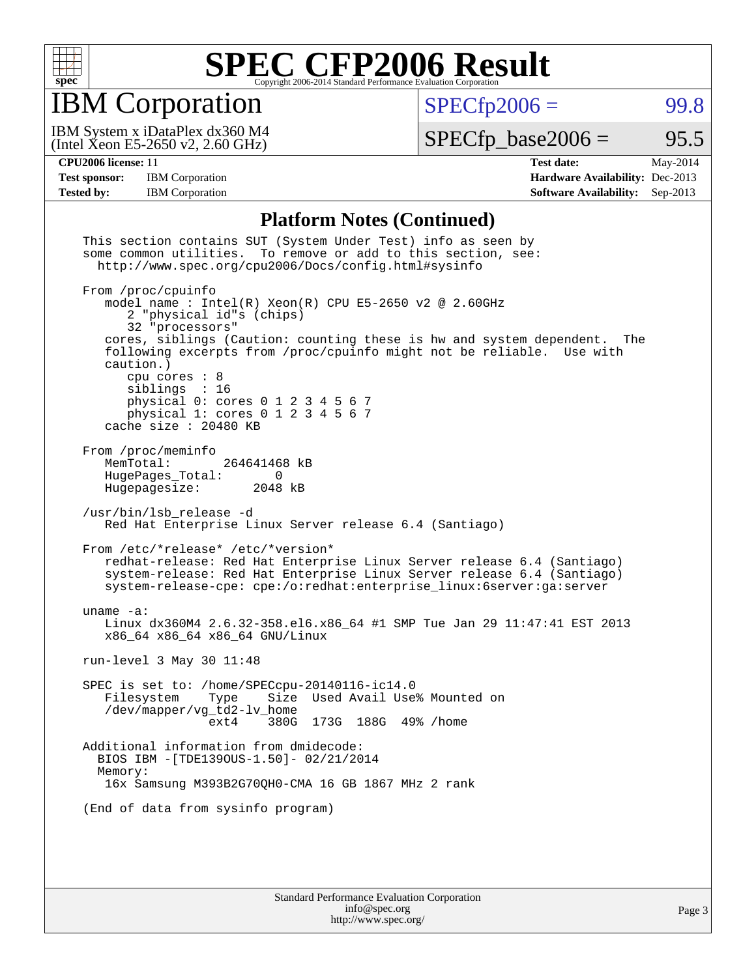

IBM Corporation

 $SPECfp2006 = 99.8$  $SPECfp2006 = 99.8$ 

(Intel Xeon E5-2650 v2, 2.60 GHz) IBM System x iDataPlex dx360 M4  $SPECTp\_base2006 = 95.5$ 

**[CPU2006 license:](http://www.spec.org/auto/cpu2006/Docs/result-fields.html#CPU2006license)** 11 **[Test date:](http://www.spec.org/auto/cpu2006/Docs/result-fields.html#Testdate)** May-2014 **[Test sponsor:](http://www.spec.org/auto/cpu2006/Docs/result-fields.html#Testsponsor)** IBM Corporation **[Hardware Availability:](http://www.spec.org/auto/cpu2006/Docs/result-fields.html#HardwareAvailability)** Dec-2013 **[Tested by:](http://www.spec.org/auto/cpu2006/Docs/result-fields.html#Testedby)** IBM Corporation **[Software Availability:](http://www.spec.org/auto/cpu2006/Docs/result-fields.html#SoftwareAvailability)** Sep-2013

#### **[Platform Notes \(Continued\)](http://www.spec.org/auto/cpu2006/Docs/result-fields.html#PlatformNotes)**

| This section contains SUT (System Under Test) info as seen by<br>some common utilities. To remove or add to this section, see:<br>http://www.spec.org/cpu2006/Docs/config.html#sysinfo                                                                                                                                                                                                                                                      |
|---------------------------------------------------------------------------------------------------------------------------------------------------------------------------------------------------------------------------------------------------------------------------------------------------------------------------------------------------------------------------------------------------------------------------------------------|
| From /proc/cpuinfo<br>model name: $Intel(R)$ Xeon $(R)$ CPU E5-2650 v2 @ 2.60GHz<br>2 "physical id"s (chips)<br>32 "processors"<br>cores, siblings (Caution: counting these is hw and system dependent.<br>The<br>following excerpts from /proc/cpuinfo might not be reliable. Use with<br>caution.)<br>cpu cores $: 8$<br>siblings : 16<br>physical 0: cores 0 1 2 3 4 5 6 7<br>physical 1: cores 0 1 2 3 4 5 6 7<br>cache size : 20480 KB |
| From /proc/meminfo<br>MemTotal:<br>264641468 kB<br>HugePages_Total:<br>0<br>Hugepagesize: 2048 kB                                                                                                                                                                                                                                                                                                                                           |
| /usr/bin/lsb_release -d<br>Red Hat Enterprise Linux Server release 6.4 (Santiago)                                                                                                                                                                                                                                                                                                                                                           |
| From /etc/*release* /etc/*version*<br>redhat-release: Red Hat Enterprise Linux Server release 6.4 (Santiago)<br>system-release: Red Hat Enterprise Linux Server release 6.4 (Santiago)<br>system-release-cpe: cpe:/o:redhat:enterprise_linux:6server:ga:server                                                                                                                                                                              |
| uname $-a$ :<br>Linux dx360M4 2.6.32-358.el6.x86_64 #1 SMP Tue Jan 29 11:47:41 EST 2013<br>x86_64 x86_64 x86_64 GNU/Linux                                                                                                                                                                                                                                                                                                                   |
| run-level 3 May 30 11:48                                                                                                                                                                                                                                                                                                                                                                                                                    |
| SPEC is set to: /home/SPECcpu-20140116-ic14.0<br>Filesystem<br>Size Used Avail Use% Mounted on<br>Type<br>/dev/mapper/vg_td2-lv_home<br>ext4 380G 173G 188G 49% / home                                                                                                                                                                                                                                                                      |
| Additional information from dmidecode:<br>BIOS IBM -[TDE1390US-1.50]- 02/21/2014<br>Memory:<br>16x Samsung M393B2G70QH0-CMA 16 GB 1867 MHz 2 rank                                                                                                                                                                                                                                                                                           |
| (End of data from sysinfo program)                                                                                                                                                                                                                                                                                                                                                                                                          |
|                                                                                                                                                                                                                                                                                                                                                                                                                                             |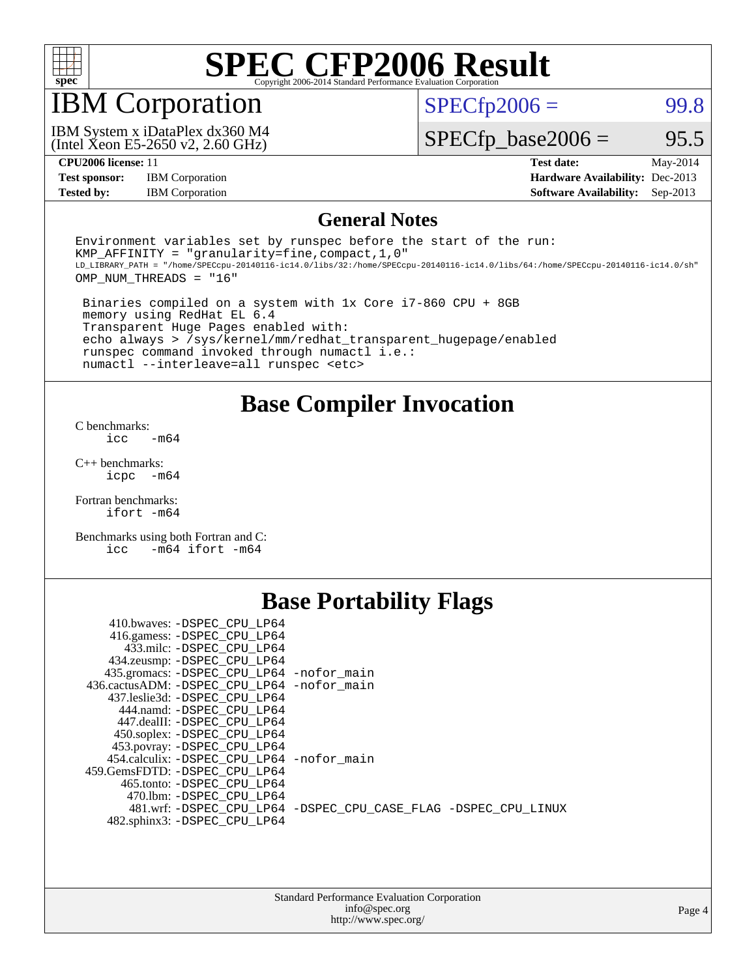

## IBM Corporation

 $SPECTp2006 =$  99.8

(Intel Xeon E5-2650 v2, 2.60 GHz) IBM System x iDataPlex dx360 M4

 $SPECfp\_base2006 = 95.5$ 

**[Test sponsor:](http://www.spec.org/auto/cpu2006/Docs/result-fields.html#Testsponsor)** IBM Corporation **[Hardware Availability:](http://www.spec.org/auto/cpu2006/Docs/result-fields.html#HardwareAvailability)** Dec-2013

**[CPU2006 license:](http://www.spec.org/auto/cpu2006/Docs/result-fields.html#CPU2006license)** 11 **[Test date:](http://www.spec.org/auto/cpu2006/Docs/result-fields.html#Testdate)** May-2014 **[Tested by:](http://www.spec.org/auto/cpu2006/Docs/result-fields.html#Testedby)** IBM Corporation **[Software Availability:](http://www.spec.org/auto/cpu2006/Docs/result-fields.html#SoftwareAvailability)** Sep-2013

#### **[General Notes](http://www.spec.org/auto/cpu2006/Docs/result-fields.html#GeneralNotes)**

Environment variables set by runspec before the start of the run: KMP AFFINITY = "granularity=fine, compact,  $1,0$ " LD\_LIBRARY\_PATH = "/home/SPECcpu-20140116-ic14.0/libs/32:/home/SPECcpu-20140116-ic14.0/libs/64:/home/SPECcpu-20140116-ic14.0/sh" OMP\_NUM\_THREADS = "16"

 Binaries compiled on a system with 1x Core i7-860 CPU + 8GB memory using RedHat EL 6.4 Transparent Huge Pages enabled with: echo always > /sys/kernel/mm/redhat\_transparent\_hugepage/enabled runspec command invoked through numactl i.e.: numactl --interleave=all runspec <etc>

**[Base Compiler Invocation](http://www.spec.org/auto/cpu2006/Docs/result-fields.html#BaseCompilerInvocation)**

[C benchmarks](http://www.spec.org/auto/cpu2006/Docs/result-fields.html#Cbenchmarks):  $\frac{1}{2}$ cc  $-\text{m64}$ 

[C++ benchmarks:](http://www.spec.org/auto/cpu2006/Docs/result-fields.html#CXXbenchmarks) [icpc -m64](http://www.spec.org/cpu2006/results/res2014q3/cpu2006-20140604-29801.flags.html#user_CXXbase_intel_icpc_64bit_bedb90c1146cab66620883ef4f41a67e)

[Fortran benchmarks](http://www.spec.org/auto/cpu2006/Docs/result-fields.html#Fortranbenchmarks): [ifort -m64](http://www.spec.org/cpu2006/results/res2014q3/cpu2006-20140604-29801.flags.html#user_FCbase_intel_ifort_64bit_ee9d0fb25645d0210d97eb0527dcc06e)

[Benchmarks using both Fortran and C](http://www.spec.org/auto/cpu2006/Docs/result-fields.html#BenchmarksusingbothFortranandC): [icc -m64](http://www.spec.org/cpu2006/results/res2014q3/cpu2006-20140604-29801.flags.html#user_CC_FCbase_intel_icc_64bit_0b7121f5ab7cfabee23d88897260401c) [ifort -m64](http://www.spec.org/cpu2006/results/res2014q3/cpu2006-20140604-29801.flags.html#user_CC_FCbase_intel_ifort_64bit_ee9d0fb25645d0210d97eb0527dcc06e)

#### **[Base Portability Flags](http://www.spec.org/auto/cpu2006/Docs/result-fields.html#BasePortabilityFlags)**

| 410.bwaves: -DSPEC CPU LP64                 |                                                                |
|---------------------------------------------|----------------------------------------------------------------|
| 416.gamess: -DSPEC CPU LP64                 |                                                                |
| 433.milc: -DSPEC CPU LP64                   |                                                                |
| 434.zeusmp: - DSPEC_CPU_LP64                |                                                                |
| 435.gromacs: -DSPEC_CPU_LP64 -nofor_main    |                                                                |
| 436.cactusADM: -DSPEC CPU LP64 -nofor main  |                                                                |
| 437.leslie3d: -DSPEC CPU LP64               |                                                                |
| 444.namd: -DSPEC CPU LP64                   |                                                                |
| 447.dealII: -DSPEC CPU LP64                 |                                                                |
| 450.soplex: -DSPEC_CPU_LP64                 |                                                                |
| 453.povray: -DSPEC_CPU_LP64                 |                                                                |
| 454.calculix: - DSPEC CPU LP64 - nofor main |                                                                |
| 459.GemsFDTD: -DSPEC CPU LP64               |                                                                |
| 465.tonto: -DSPEC CPU LP64                  |                                                                |
| 470.1bm: - DSPEC CPU LP64                   |                                                                |
|                                             | 481.wrf: -DSPEC_CPU_LP64 -DSPEC_CPU_CASE_FLAG -DSPEC_CPU_LINUX |
| 482.sphinx3: -DSPEC_CPU_LP64                |                                                                |
|                                             |                                                                |

| <b>Standard Performance Evaluation Corporation</b> |
|----------------------------------------------------|
| info@spec.org                                      |
| http://www.spec.org/                               |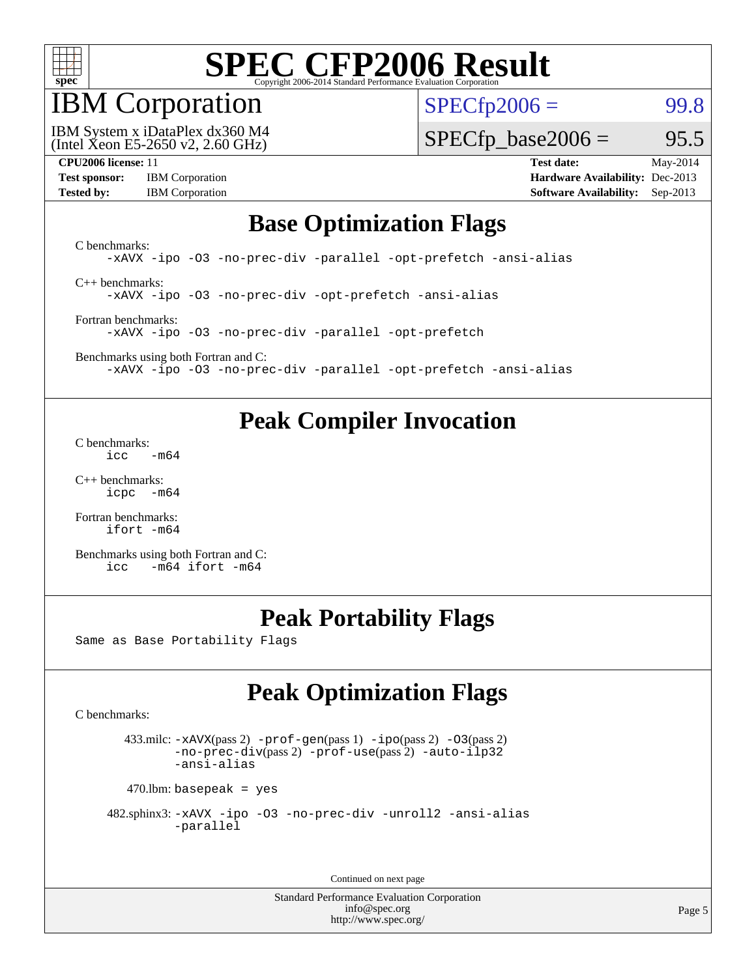

## IBM Corporation

 $SPECTp2006 =$  99.8

(Intel Xeon E5-2650 v2, 2.60 GHz) IBM System x iDataPlex dx360 M4

 $SPECTp\_base2006 = 95.5$ 

| <b>Test sponsor:</b> | <b>IBM</b> Corporation |
|----------------------|------------------------|
| <b>Tested by:</b>    | <b>IBM</b> Corporation |

**[CPU2006 license:](http://www.spec.org/auto/cpu2006/Docs/result-fields.html#CPU2006license)** 11 **[Test date:](http://www.spec.org/auto/cpu2006/Docs/result-fields.html#Testdate)** May-2014 **[Hardware Availability:](http://www.spec.org/auto/cpu2006/Docs/result-fields.html#HardwareAvailability)** Dec-2013 **[Software Availability:](http://www.spec.org/auto/cpu2006/Docs/result-fields.html#SoftwareAvailability)** Sep-2013

#### **[Base Optimization Flags](http://www.spec.org/auto/cpu2006/Docs/result-fields.html#BaseOptimizationFlags)**

[C benchmarks](http://www.spec.org/auto/cpu2006/Docs/result-fields.html#Cbenchmarks): [-xAVX](http://www.spec.org/cpu2006/results/res2014q3/cpu2006-20140604-29801.flags.html#user_CCbase_f-xAVX) [-ipo](http://www.spec.org/cpu2006/results/res2014q3/cpu2006-20140604-29801.flags.html#user_CCbase_f-ipo) [-O3](http://www.spec.org/cpu2006/results/res2014q3/cpu2006-20140604-29801.flags.html#user_CCbase_f-O3) [-no-prec-div](http://www.spec.org/cpu2006/results/res2014q3/cpu2006-20140604-29801.flags.html#user_CCbase_f-no-prec-div) [-parallel](http://www.spec.org/cpu2006/results/res2014q3/cpu2006-20140604-29801.flags.html#user_CCbase_f-parallel) [-opt-prefetch](http://www.spec.org/cpu2006/results/res2014q3/cpu2006-20140604-29801.flags.html#user_CCbase_f-opt-prefetch) [-ansi-alias](http://www.spec.org/cpu2006/results/res2014q3/cpu2006-20140604-29801.flags.html#user_CCbase_f-ansi-alias) [C++ benchmarks:](http://www.spec.org/auto/cpu2006/Docs/result-fields.html#CXXbenchmarks) [-xAVX](http://www.spec.org/cpu2006/results/res2014q3/cpu2006-20140604-29801.flags.html#user_CXXbase_f-xAVX) [-ipo](http://www.spec.org/cpu2006/results/res2014q3/cpu2006-20140604-29801.flags.html#user_CXXbase_f-ipo) [-O3](http://www.spec.org/cpu2006/results/res2014q3/cpu2006-20140604-29801.flags.html#user_CXXbase_f-O3) [-no-prec-div](http://www.spec.org/cpu2006/results/res2014q3/cpu2006-20140604-29801.flags.html#user_CXXbase_f-no-prec-div) [-opt-prefetch](http://www.spec.org/cpu2006/results/res2014q3/cpu2006-20140604-29801.flags.html#user_CXXbase_f-opt-prefetch) [-ansi-alias](http://www.spec.org/cpu2006/results/res2014q3/cpu2006-20140604-29801.flags.html#user_CXXbase_f-ansi-alias)

[Fortran benchmarks](http://www.spec.org/auto/cpu2006/Docs/result-fields.html#Fortranbenchmarks): [-xAVX](http://www.spec.org/cpu2006/results/res2014q3/cpu2006-20140604-29801.flags.html#user_FCbase_f-xAVX) [-ipo](http://www.spec.org/cpu2006/results/res2014q3/cpu2006-20140604-29801.flags.html#user_FCbase_f-ipo) [-O3](http://www.spec.org/cpu2006/results/res2014q3/cpu2006-20140604-29801.flags.html#user_FCbase_f-O3) [-no-prec-div](http://www.spec.org/cpu2006/results/res2014q3/cpu2006-20140604-29801.flags.html#user_FCbase_f-no-prec-div) [-parallel](http://www.spec.org/cpu2006/results/res2014q3/cpu2006-20140604-29801.flags.html#user_FCbase_f-parallel) [-opt-prefetch](http://www.spec.org/cpu2006/results/res2014q3/cpu2006-20140604-29801.flags.html#user_FCbase_f-opt-prefetch)

[Benchmarks using both Fortran and C](http://www.spec.org/auto/cpu2006/Docs/result-fields.html#BenchmarksusingbothFortranandC): [-xAVX](http://www.spec.org/cpu2006/results/res2014q3/cpu2006-20140604-29801.flags.html#user_CC_FCbase_f-xAVX) [-ipo](http://www.spec.org/cpu2006/results/res2014q3/cpu2006-20140604-29801.flags.html#user_CC_FCbase_f-ipo) [-O3](http://www.spec.org/cpu2006/results/res2014q3/cpu2006-20140604-29801.flags.html#user_CC_FCbase_f-O3) [-no-prec-div](http://www.spec.org/cpu2006/results/res2014q3/cpu2006-20140604-29801.flags.html#user_CC_FCbase_f-no-prec-div) [-parallel](http://www.spec.org/cpu2006/results/res2014q3/cpu2006-20140604-29801.flags.html#user_CC_FCbase_f-parallel) [-opt-prefetch](http://www.spec.org/cpu2006/results/res2014q3/cpu2006-20140604-29801.flags.html#user_CC_FCbase_f-opt-prefetch) [-ansi-alias](http://www.spec.org/cpu2006/results/res2014q3/cpu2006-20140604-29801.flags.html#user_CC_FCbase_f-ansi-alias)

### **[Peak Compiler Invocation](http://www.spec.org/auto/cpu2006/Docs/result-fields.html#PeakCompilerInvocation)**

[C benchmarks](http://www.spec.org/auto/cpu2006/Docs/result-fields.html#Cbenchmarks):  $\text{icc}$   $-\text{m64}$ 

[C++ benchmarks:](http://www.spec.org/auto/cpu2006/Docs/result-fields.html#CXXbenchmarks) [icpc -m64](http://www.spec.org/cpu2006/results/res2014q3/cpu2006-20140604-29801.flags.html#user_CXXpeak_intel_icpc_64bit_bedb90c1146cab66620883ef4f41a67e)

[Fortran benchmarks](http://www.spec.org/auto/cpu2006/Docs/result-fields.html#Fortranbenchmarks): [ifort -m64](http://www.spec.org/cpu2006/results/res2014q3/cpu2006-20140604-29801.flags.html#user_FCpeak_intel_ifort_64bit_ee9d0fb25645d0210d97eb0527dcc06e)

[Benchmarks using both Fortran and C](http://www.spec.org/auto/cpu2006/Docs/result-fields.html#BenchmarksusingbothFortranandC): [icc -m64](http://www.spec.org/cpu2006/results/res2014q3/cpu2006-20140604-29801.flags.html#user_CC_FCpeak_intel_icc_64bit_0b7121f5ab7cfabee23d88897260401c) [ifort -m64](http://www.spec.org/cpu2006/results/res2014q3/cpu2006-20140604-29801.flags.html#user_CC_FCpeak_intel_ifort_64bit_ee9d0fb25645d0210d97eb0527dcc06e)

### **[Peak Portability Flags](http://www.spec.org/auto/cpu2006/Docs/result-fields.html#PeakPortabilityFlags)**

Same as Base Portability Flags

### **[Peak Optimization Flags](http://www.spec.org/auto/cpu2006/Docs/result-fields.html#PeakOptimizationFlags)**

[C benchmarks](http://www.spec.org/auto/cpu2006/Docs/result-fields.html#Cbenchmarks):

 433.milc: [-xAVX](http://www.spec.org/cpu2006/results/res2014q3/cpu2006-20140604-29801.flags.html#user_peakPASS2_CFLAGSPASS2_LDFLAGS433_milc_f-xAVX)(pass 2) [-prof-gen](http://www.spec.org/cpu2006/results/res2014q3/cpu2006-20140604-29801.flags.html#user_peakPASS1_CFLAGSPASS1_LDFLAGS433_milc_prof_gen_e43856698f6ca7b7e442dfd80e94a8fc)(pass 1) [-ipo](http://www.spec.org/cpu2006/results/res2014q3/cpu2006-20140604-29801.flags.html#user_peakPASS2_CFLAGSPASS2_LDFLAGS433_milc_f-ipo)(pass 2) [-O3](http://www.spec.org/cpu2006/results/res2014q3/cpu2006-20140604-29801.flags.html#user_peakPASS2_CFLAGSPASS2_LDFLAGS433_milc_f-O3)(pass 2) [-no-prec-div](http://www.spec.org/cpu2006/results/res2014q3/cpu2006-20140604-29801.flags.html#user_peakPASS2_CFLAGSPASS2_LDFLAGS433_milc_f-no-prec-div)(pass 2) [-prof-use](http://www.spec.org/cpu2006/results/res2014q3/cpu2006-20140604-29801.flags.html#user_peakPASS2_CFLAGSPASS2_LDFLAGS433_milc_prof_use_bccf7792157ff70d64e32fe3e1250b55)(pass 2) [-auto-ilp32](http://www.spec.org/cpu2006/results/res2014q3/cpu2006-20140604-29801.flags.html#user_peakCOPTIMIZE433_milc_f-auto-ilp32) [-ansi-alias](http://www.spec.org/cpu2006/results/res2014q3/cpu2006-20140604-29801.flags.html#user_peakCOPTIMIZE433_milc_f-ansi-alias)

 $470$ .lbm: basepeak = yes

```
 482.sphinx3: -xAVX -ipo -O3 -no-prec-div -unroll2 -ansi-alias
         -parallel
```
Continued on next page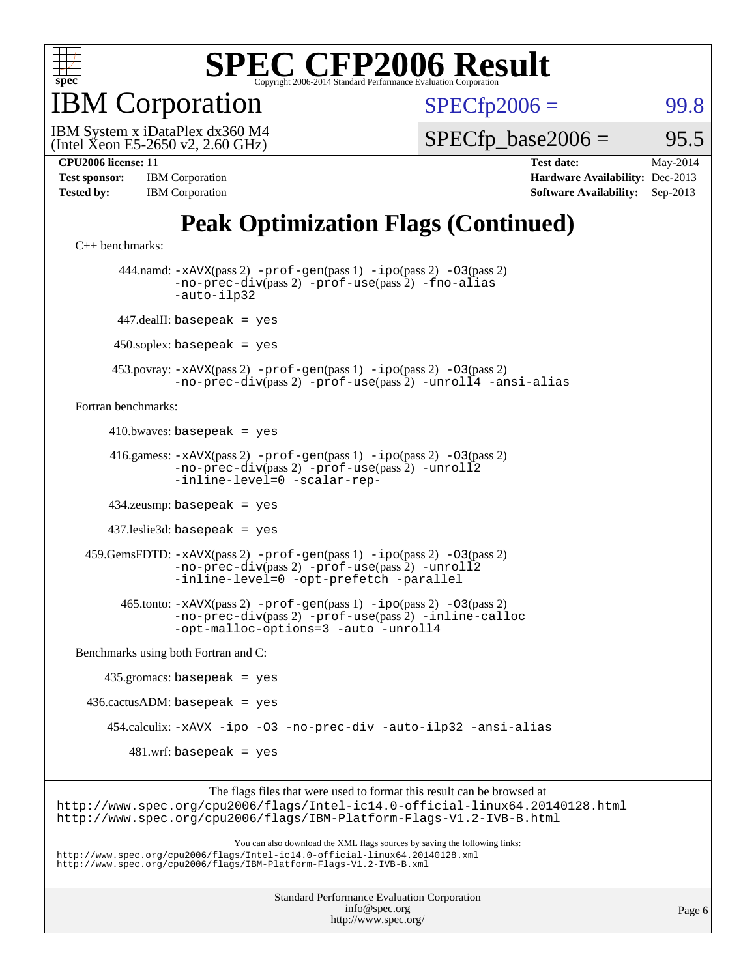

IBM Corporation

 $SPECTp2006 =$  99.8

(Intel Xeon E5-2650 v2, 2.60 GHz) IBM System x iDataPlex dx360 M4

 $SPECTp\_base2006 = 95.5$ 

| <b>Test sponsor:</b> | <b>IBM</b> Corporation |
|----------------------|------------------------|
| <b>Tested by:</b>    | <b>IBM</b> Corporation |

**[CPU2006 license:](http://www.spec.org/auto/cpu2006/Docs/result-fields.html#CPU2006license)** 11 **[Test date:](http://www.spec.org/auto/cpu2006/Docs/result-fields.html#Testdate)** May-2014 **[Hardware Availability:](http://www.spec.org/auto/cpu2006/Docs/result-fields.html#HardwareAvailability)** Dec-2013 **[Software Availability:](http://www.spec.org/auto/cpu2006/Docs/result-fields.html#SoftwareAvailability)** Sep-2013

## **[Peak Optimization Flags \(Continued\)](http://www.spec.org/auto/cpu2006/Docs/result-fields.html#PeakOptimizationFlags)**

```
C++ benchmarks: 
        444.namd: -xAVX(pass 2) -prof-gen(pass 1) -ipo(pass 2) -O3(pass 2)
                -no-prec-div(pass 2) -prof-use(pass 2) -fno-alias
                -auto-ilp32
       447.dealII: basepeak = yes
       450.soplex: basepeak = yes
      453.povray: -xAVX(pass 2) -prof-gen(pass 1) -ipo(pass 2) -O3(pass 2)
                -no-prec-div(pass 2) -prof-use(pass 2) -unroll4 -ansi-alias
Fortran benchmarks: 
     410.bwaves: basepeak = yes 416.gamess: -xAVX(pass 2) -prof-gen(pass 1) -ipo(pass 2) -O3(pass 2)
                -no-prec-div(pass 2) -prof-use(pass 2) -unroll2
                -inline-level=0 -scalar-rep-
      434.zeusmp: basepeak = yes
      437.leslie3d: basepeak = yes
  459.GemsFDTD: -xAVX(pass 2) -prof-gen(pass 1) -ipo(pass 2) -O3(pass 2)
                -no-prec-div(pass 2) -prof-use(pass 2) -unroll2
                -inline-level=0 -opt-prefetch -parallel
        465.tonto: -xAVX(pass 2) -prof-gen(pass 1) -ipo(pass 2) -O3(pass 2)
                -no-prec-div(pass 2) -prof-use(pass 2) -inline-calloc
                -opt-malloc-options=3 -auto -unroll4
Benchmarks using both Fortran and C: 
     435.gromacs: basepeak = yes
 436.cactusADM: basepeak = yes 454.calculix: -xAVX -ipo -O3 -no-prec-div -auto-ilp32 -ansi-alias
        481.wrf: basepeak = yes
                     The flags files that were used to format this result can be browsed at
```
<http://www.spec.org/cpu2006/flags/Intel-ic14.0-official-linux64.20140128.html> <http://www.spec.org/cpu2006/flags/IBM-Platform-Flags-V1.2-IVB-B.html>

You can also download the XML flags sources by saving the following links: <http://www.spec.org/cpu2006/flags/Intel-ic14.0-official-linux64.20140128.xml> <http://www.spec.org/cpu2006/flags/IBM-Platform-Flags-V1.2-IVB-B.xml>